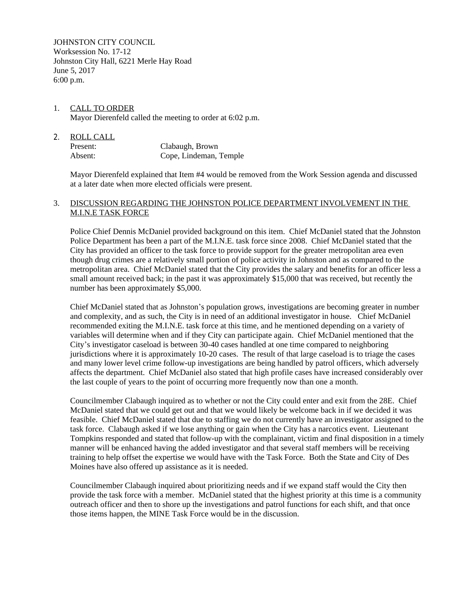JOHNSTON CITY COUNCIL Worksession No. 17-12 Johnston City Hall, 6221 Merle Hay Road June 5, 2017 6:00 p.m.

## 1. CALL TO ORDER Mayor Dierenfeld called the meeting to order at 6:02 p.m.

| 2. | ROLL CALL |                        |
|----|-----------|------------------------|
|    | Present:  | Clabaugh, Brown        |
|    | Absent:   | Cope, Lindeman, Temple |

Mayor Dierenfeld explained that Item #4 would be removed from the Work Session agenda and discussed at a later date when more elected officials were present.

## 3. DISCUSSION REGARDING THE JOHNSTON POLICE DEPARTMENT INVOLVEMENT IN THE M.I.N.E TASK FORCE

Police Chief Dennis McDaniel provided background on this item. Chief McDaniel stated that the Johnston Police Department has been a part of the M.I.N.E. task force since 2008. Chief McDaniel stated that the City has provided an officer to the task force to provide support for the greater metropolitan area even though drug crimes are a relatively small portion of police activity in Johnston and as compared to the metropolitan area. Chief McDaniel stated that the City provides the salary and benefits for an officer less a small amount received back; in the past it was approximately \$15,000 that was received, but recently the number has been approximately \$5,000.

Chief McDaniel stated that as Johnston's population grows, investigations are becoming greater in number and complexity, and as such, the City is in need of an additional investigator in house. Chief McDaniel recommended exiting the M.I.N.E. task force at this time, and he mentioned depending on a variety of variables will determine when and if they City can participate again. Chief McDaniel mentioned that the City's investigator caseload is between 30-40 cases handled at one time compared to neighboring jurisdictions where it is approximately 10-20 cases. The result of that large caseload is to triage the cases and many lower level crime follow-up investigations are being handled by patrol officers, which adversely affects the department. Chief McDaniel also stated that high profile cases have increased considerably over the last couple of years to the point of occurring more frequently now than one a month.

Councilmember Clabaugh inquired as to whether or not the City could enter and exit from the 28E. Chief McDaniel stated that we could get out and that we would likely be welcome back in if we decided it was feasible. Chief McDaniel stated that due to staffing we do not currently have an investigator assigned to the task force. Clabaugh asked if we lose anything or gain when the City has a narcotics event. Lieutenant Tompkins responded and stated that follow-up with the complainant, victim and final disposition in a timely manner will be enhanced having the added investigator and that several staff members will be receiving training to help offset the expertise we would have with the Task Force. Both the State and City of Des Moines have also offered up assistance as it is needed.

Councilmember Clabaugh inquired about prioritizing needs and if we expand staff would the City then provide the task force with a member. McDaniel stated that the highest priority at this time is a community outreach officer and then to shore up the investigations and patrol functions for each shift, and that once those items happen, the MINE Task Force would be in the discussion.